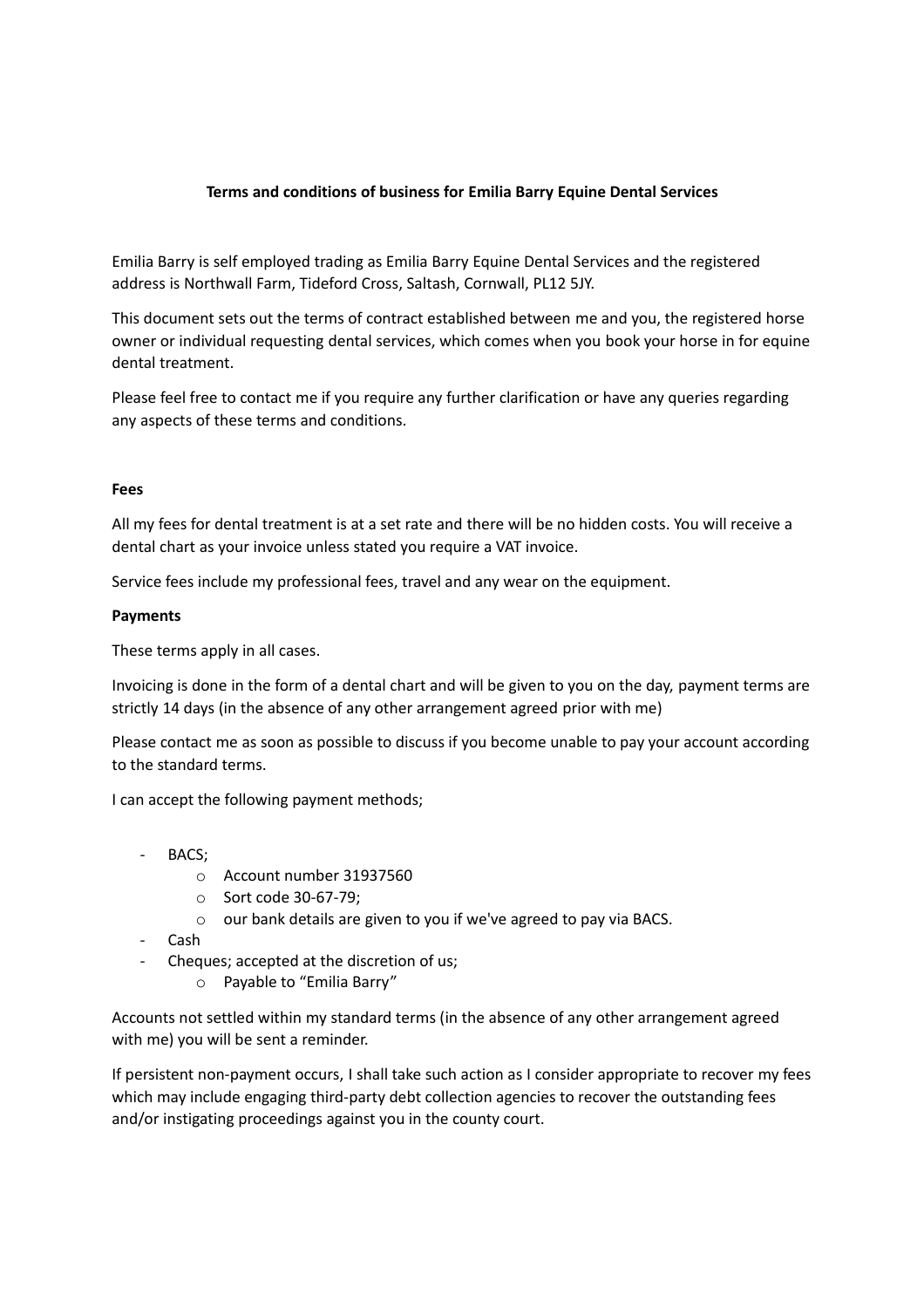## **Terms and conditions of business for Emilia Barry Equine Dental Services**

Emilia Barry is self employed trading as Emilia Barry Equine Dental Services and the registered address is Northwall Farm, Tideford Cross, Saltash, Cornwall, PL12 5JY.

This document sets out the terms of contract established between me and you, the registered horse owner or individual requesting dental services, which comes when you book your horse in for equine dental treatment.

Please feel free to contact me if you require any further clarification or have any queries regarding any aspects of these terms and conditions.

#### **Fees**

All my fees for dental treatment is at a set rate and there will be no hidden costs. You will receive a dental chart as your invoice unless stated you require a VAT invoice.

Service fees include my professional fees, travel and any wear on the equipment.

#### **Payments**

These terms apply in all cases.

Invoicing is done in the form of a dental chart and will be given to you on the day, payment terms are strictly 14 days (in the absence of any other arrangement agreed prior with me)

Please contact me as soon as possible to discuss if you become unable to pay your account according to the standard terms.

I can accept the following payment methods;

- BACS:
	- o Account number 31937560
	- o Sort code 30-67-79;
	- o our bank details are given to you if we've agreed to pay via BACS.
- Cash
- Cheques; accepted at the discretion of us;
	- o Payable to "Emilia Barry"

Accounts not settled within my standard terms (in the absence of any other arrangement agreed with me) you will be sent a reminder.

If persistent non-payment occurs, I shall take such action as I consider appropriate to recover my fees which may include engaging third-party debt collection agencies to recover the outstanding fees and/or instigating proceedings against you in the county court.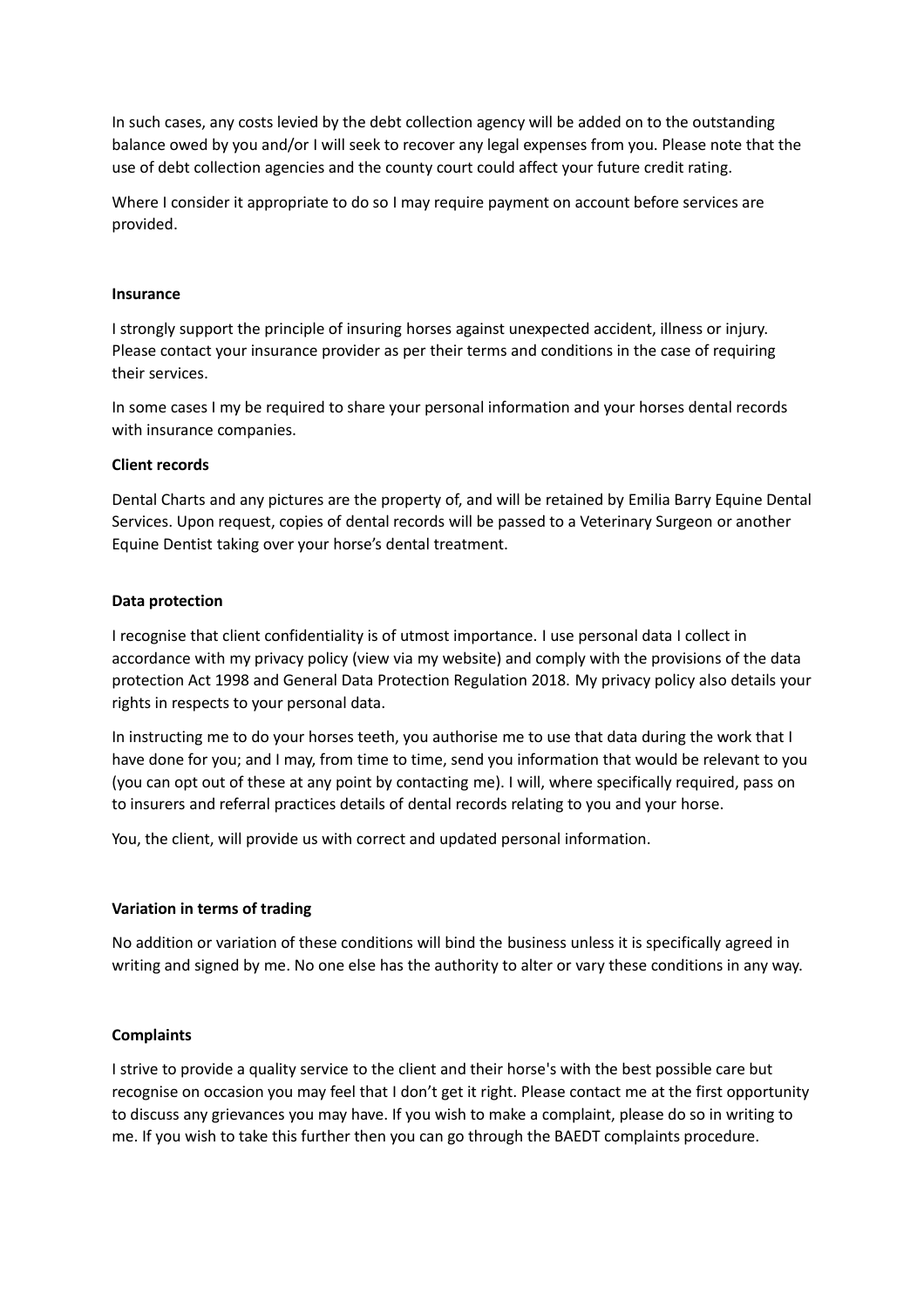In such cases, any costs levied by the debt collection agency will be added on to the outstanding balance owed by you and/or I will seek to recover any legal expenses from you. Please note that the use of debt collection agencies and the county court could affect your future credit rating.

Where I consider it appropriate to do so I may require payment on account before services are provided.

#### **Insurance**

I strongly support the principle of insuring horses against unexpected accident, illness or injury. Please contact your insurance provider as per their terms and conditions in the case of requiring their services.

In some cases I my be required to share your personal information and your horses dental records with insurance companies.

#### **Client records**

Dental Charts and any pictures are the property of, and will be retained by Emilia Barry Equine Dental Services. Upon request, copies of dental records will be passed to a Veterinary Surgeon or another Equine Dentist taking over your horse's dental treatment.

#### **Data protection**

I recognise that client confidentiality is of utmost importance. I use personal data I collect in accordance with my privacy policy (view via my website) and comply with the provisions of the data protection Act 1998 and General Data Protection Regulation 2018. My privacy policy also details your rights in respects to your personal data.

In instructing me to do your horses teeth, you authorise me to use that data during the work that I have done for you; and I may, from time to time, send you information that would be relevant to you (you can opt out of these at any point by contacting me). I will, where specifically required, pass on to insurers and referral practices details of dental records relating to you and your horse.

You, the client, will provide us with correct and updated personal information.

## **Variation in terms of trading**

No addition or variation of these conditions will bind the business unless it is specifically agreed in writing and signed by me. No one else has the authority to alter or vary these conditions in any way.

## **Complaints**

I strive to provide a quality service to the client and their horse's with the best possible care but recognise on occasion you may feel that I don't get it right. Please contact me at the first opportunity to discuss any grievances you may have. If you wish to make a complaint, please do so in writing to me. If you wish to take this further then you can go through the BAEDT complaints procedure.